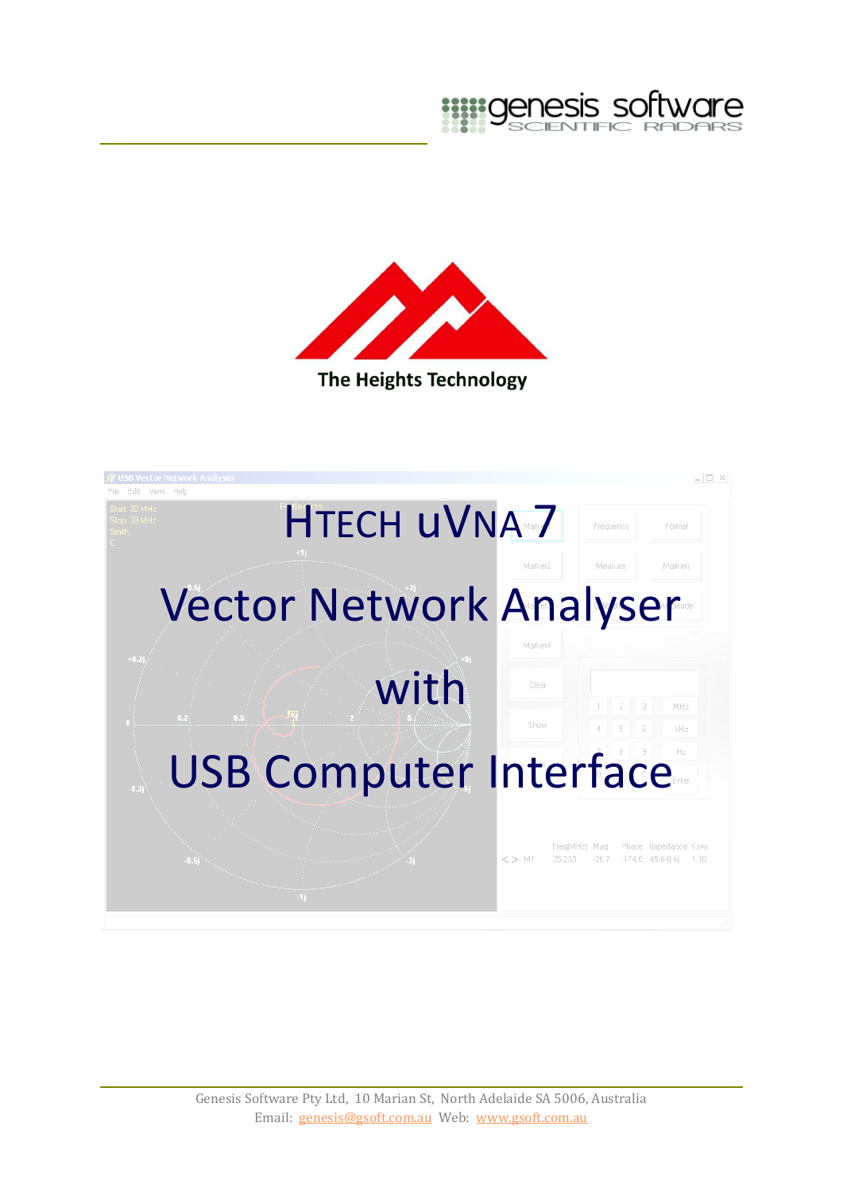



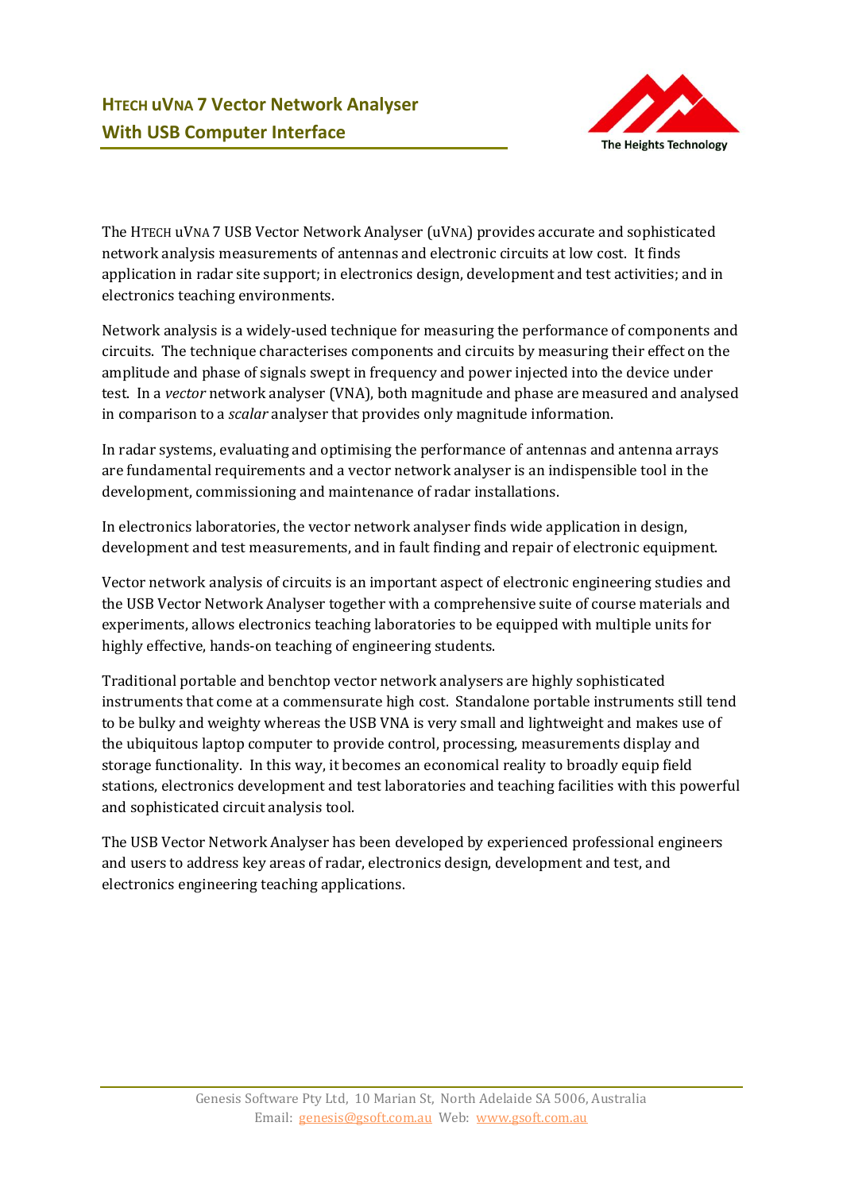![](_page_1_Picture_1.jpeg)

The HTECH uVNA 7 USB Vector Network Analyser (uVNA) provides accurate and sophisticated network analysis measurements of antennas and electronic circuits at low cost. It finds application in radar site support; in electronics design, development and test activities; and in electronics teaching environments.

Network analysis is a widely-used technique for measuring the performance of components and circuits. The technique characterises components and circuits by measuring their effect on the amplitude and phase of signals swept in frequency and power injected into the device under test. In a *vector* network analyser (VNA), both magnitude and phase are measured and analysed in comparison to a *scalar* analyser that provides only magnitude information.

In radar systems, evaluating and optimising the performance of antennas and antenna arrays are fundamental requirements and a vector network analyser is an indispensible tool in the development, commissioning and maintenance of radar installations.

In electronics laboratories, the vector network analyser finds wide application in design, development and test measurements, and in fault finding and repair of electronic equipment.

Vector network analysis of circuits is an important aspect of electronic engineering studies and the USB Vector Network Analyser together with a comprehensive suite of course materials and experiments, allows electronics teaching laboratories to be equipped with multiple units for highly effective, hands-on teaching of engineering students.

Traditional portable and benchtop vector network analysers are highly sophisticated instruments that come at a commensurate high cost. Standalone portable instruments still tend to be bulky and weighty whereas the USB VNA is very small and lightweight and makes use of the ubiquitous laptop computer to provide control, processing, measurements display and storage functionality. In this way, it becomes an economical reality to broadly equip field stations, electronics development and test laboratories and teaching facilities with this powerful and sophisticated circuit analysis tool.

The USB Vector Network Analyser has been developed by experienced professional engineers and users to address key areas of radar, electronics design, development and test, and electronics engineering teaching applications.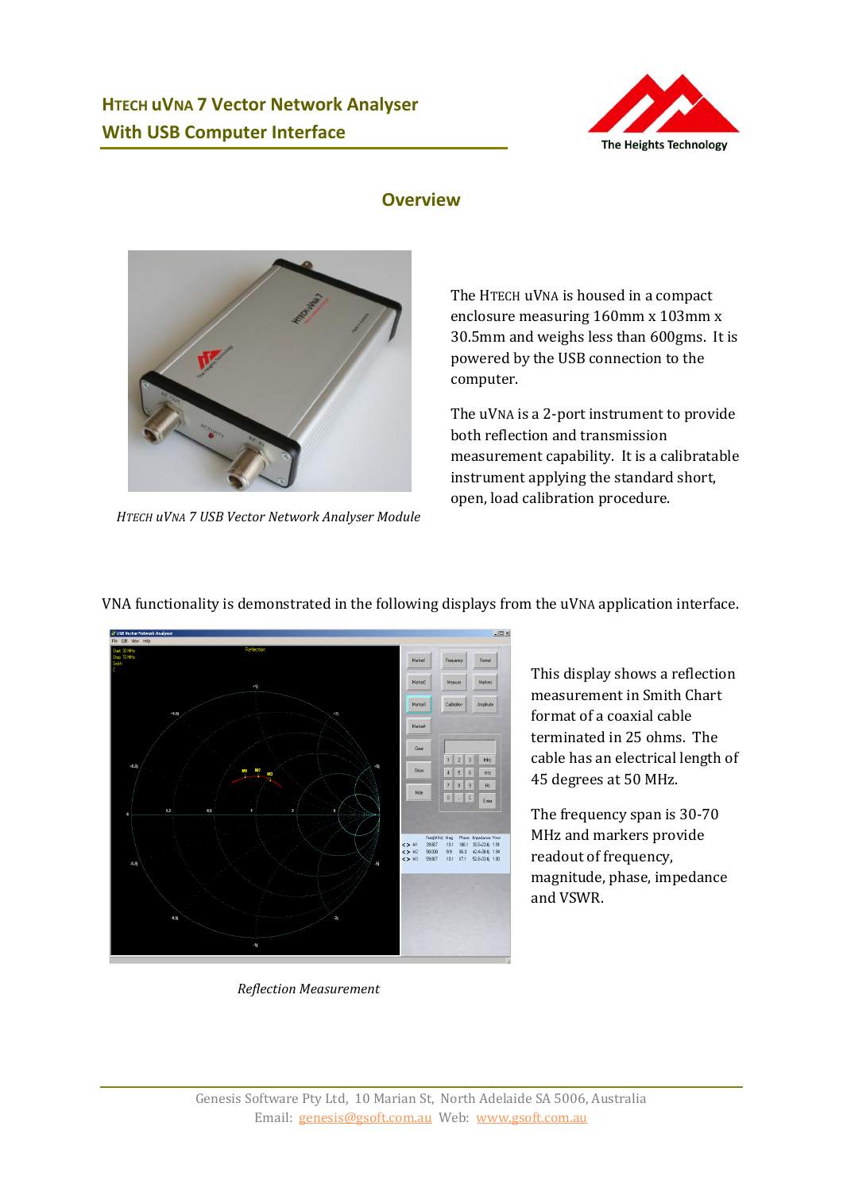![](_page_2_Picture_1.jpeg)

#### **Overview**

![](_page_2_Picture_3.jpeg)

*HTECH uVNA 7 USB Vector Network Analyser Module*

The HTECH uVNA is housed in a compact enclosure measuring 160mm x 103mm x 30.5mm and weighs less than 600gms. It is powered by the USB connection to the computer.

The uVNA is a 2-port instrument to provide both reflection and transmission measurement capability. It is a calibratable instrument applying the standard short, open, load calibration procedure.

![](_page_2_Figure_7.jpeg)

This display shows a reflection measurement in Smith Chart format of a coaxial cable terminated in 25 ohms. The cable has an electrical length of 45 degrees at 50 MHz.

The frequency span is 30-70 MHz and markers provide readout of frequency, magnitude, phase, impedance and VSWR.

*Reflection Measurement*

#### VNA functionality is demonstrated in the following displays from the uVNA application interface.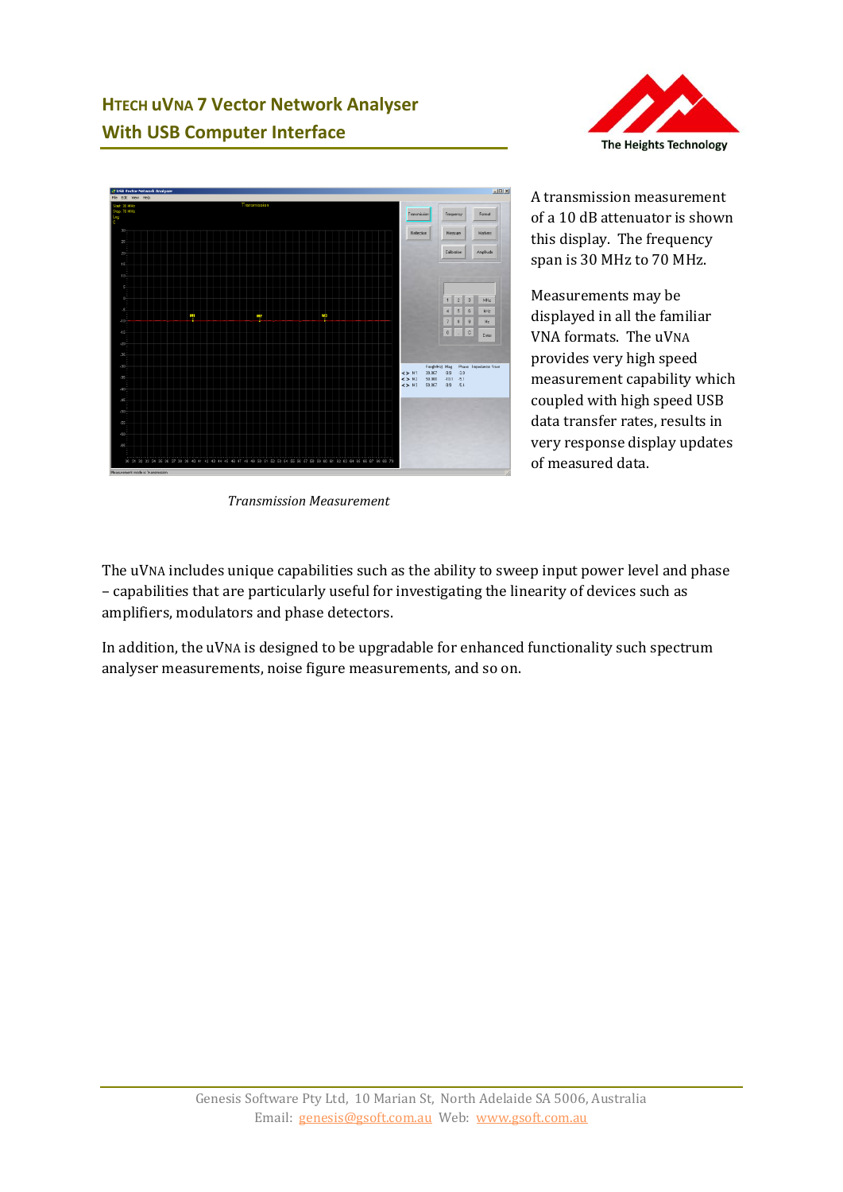# **HTECH uVNA 7 Vector Network Analyser With USB Computer Interface**

![](_page_3_Picture_1.jpeg)

*Transmission Measurement*

![](_page_3_Picture_3.jpeg)

A transmission measurement of a 10 dB attenuator is shown this display. The frequency span is 30 MHz to 70 MHz.

Measurements may be displayed in all the familiar VNA formats. The uVNA provides very high speed measurement capability which coupled with high speed USB data transfer rates, results in very response display updates of measured data.

The uVNA includes unique capabilities such as the ability to sweep input power level and phase – capabilities that are particularly useful for investigating the linearity of devices such as amplifiers, modulators and phase detectors.

In addition, the uVNA is designed to be upgradable for enhanced functionality such spectrum analyser measurements, noise figure measurements, and so on.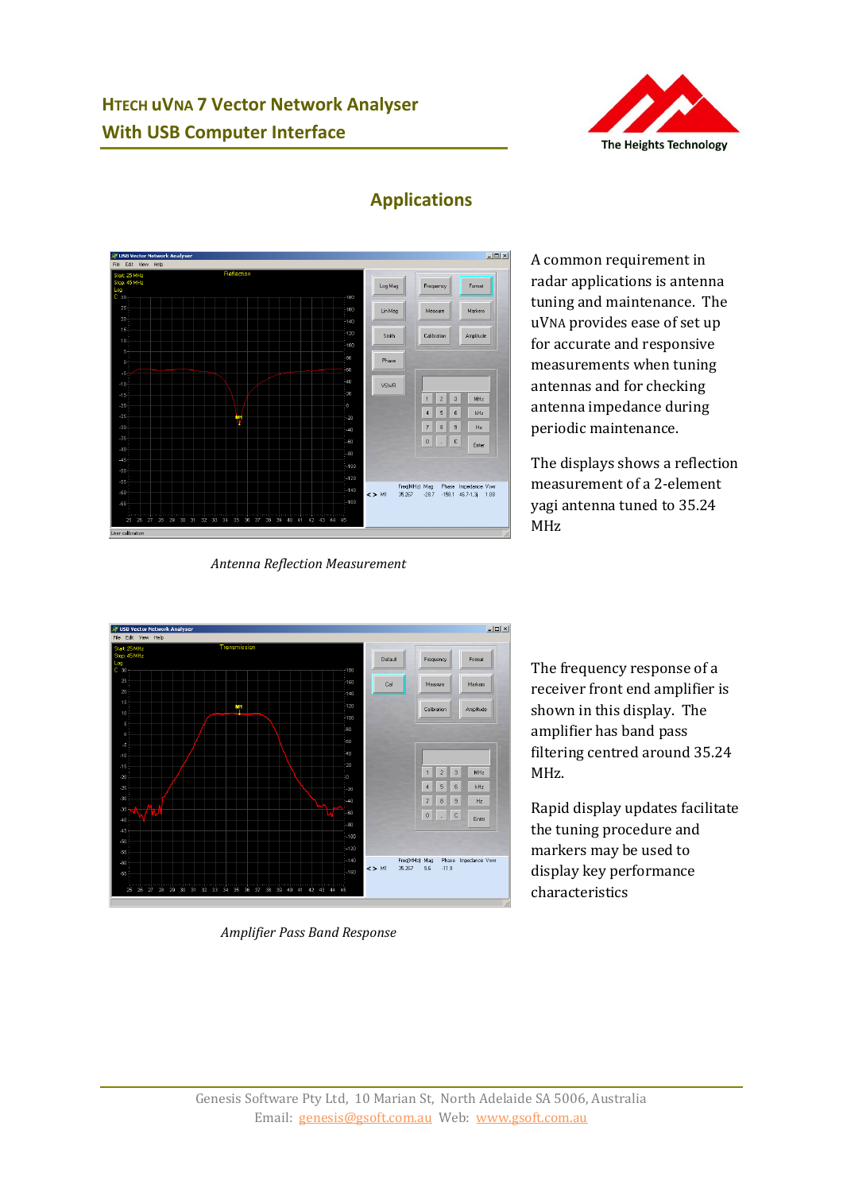## **HTECH uVNA 7 Vector Network Analyser With USB Computer Interface**

![](_page_4_Picture_1.jpeg)

![](_page_4_Figure_2.jpeg)

### **Applications**

*Antenna Reflection Measurement*

A common requirement in radar applications is antenna tuning and maintenance. The uVNA provides ease of set up for accurate and responsive measurements when tuning antennas and for checking antenna impedance during periodic maintenance.

The displays shows a reflection measurement of a 2-element yagi antenna tuned to 35.24 MHz

![](_page_4_Figure_7.jpeg)

*Amplifier Pass Band Response*

The frequency response of a receiver front end amplifier is shown in this display. The amplifier has band pass filtering centred around 35.24 MHz.

Rapid display updates facilitate the tuning procedure and markers may be used to display key performance characteristics